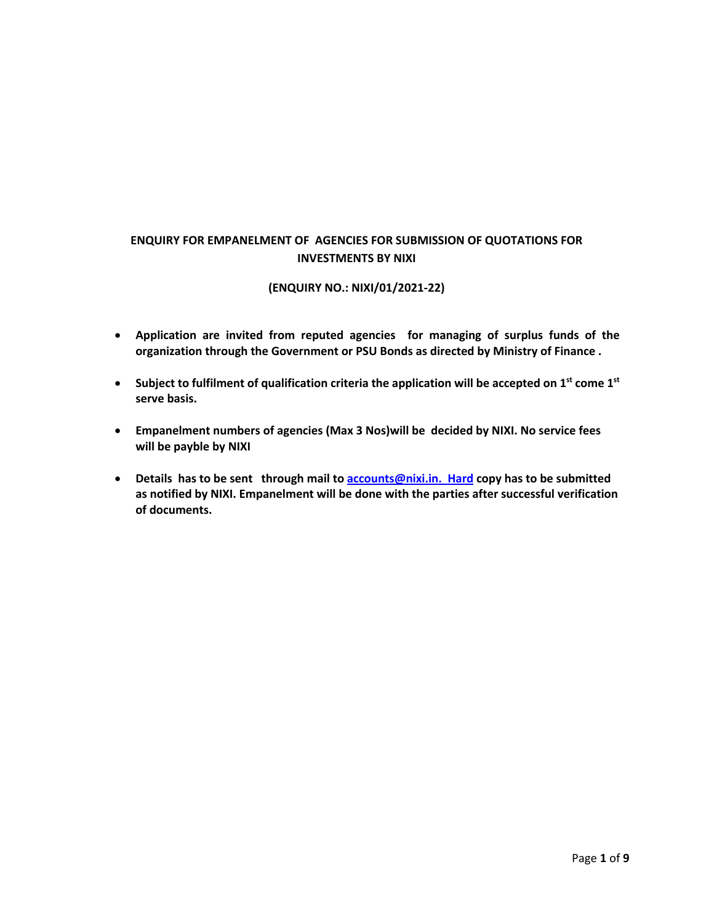## **ENQUIRY FOR EMPANELMENT OF AGENCIES FOR SUBMISSION OF QUOTATIONS FOR INVESTMENTS BY NIXI**

### **(ENQUIRY NO.: NIXI/01/2021-22)**

- **Application are invited from reputed agencies for managing of surplus funds of the organization through the Government or PSU Bonds as directed by Ministry of Finance .**
- **Subject to fulfilment of qualification criteria the application will be accepted on 1st come 1st serve basis.**
- **Empanelment numbers of agencies (Max 3 Nos)will be decided by NIXI. No service fees will be payble by NIXI**
- **Details has to be sent through mail to accounts@nixi.in. Hard copy has to be submitted as notified by NIXI. Empanelment will be done with the parties after successful verification of documents.**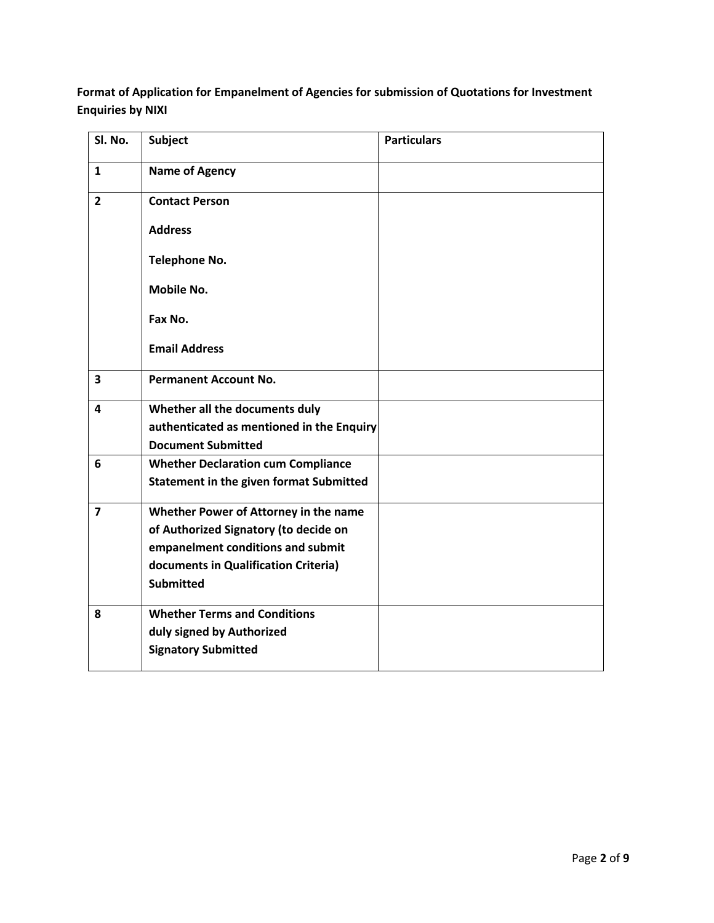**Format of Application for Empanelment of Agencies for submission of Quotations for Investment Enquiries by NIXI** 

| Sl. No.                 | <b>Subject</b>                                                                                                                                                                  | <b>Particulars</b> |
|-------------------------|---------------------------------------------------------------------------------------------------------------------------------------------------------------------------------|--------------------|
| $\mathbf{1}$            | <b>Name of Agency</b>                                                                                                                                                           |                    |
| $\overline{2}$          | <b>Contact Person</b>                                                                                                                                                           |                    |
|                         | <b>Address</b>                                                                                                                                                                  |                    |
|                         | <b>Telephone No.</b>                                                                                                                                                            |                    |
|                         | <b>Mobile No.</b>                                                                                                                                                               |                    |
|                         | Fax No.                                                                                                                                                                         |                    |
|                         | <b>Email Address</b>                                                                                                                                                            |                    |
| $\overline{\mathbf{3}}$ | <b>Permanent Account No.</b>                                                                                                                                                    |                    |
| 4                       | Whether all the documents duly<br>authenticated as mentioned in the Enquiry<br><b>Document Submitted</b>                                                                        |                    |
| 6                       | <b>Whether Declaration cum Compliance</b><br><b>Statement in the given format Submitted</b>                                                                                     |                    |
| $\overline{7}$          | Whether Power of Attorney in the name<br>of Authorized Signatory (to decide on<br>empanelment conditions and submit<br>documents in Qualification Criteria)<br><b>Submitted</b> |                    |
| 8                       | <b>Whether Terms and Conditions</b><br>duly signed by Authorized<br><b>Signatory Submitted</b>                                                                                  |                    |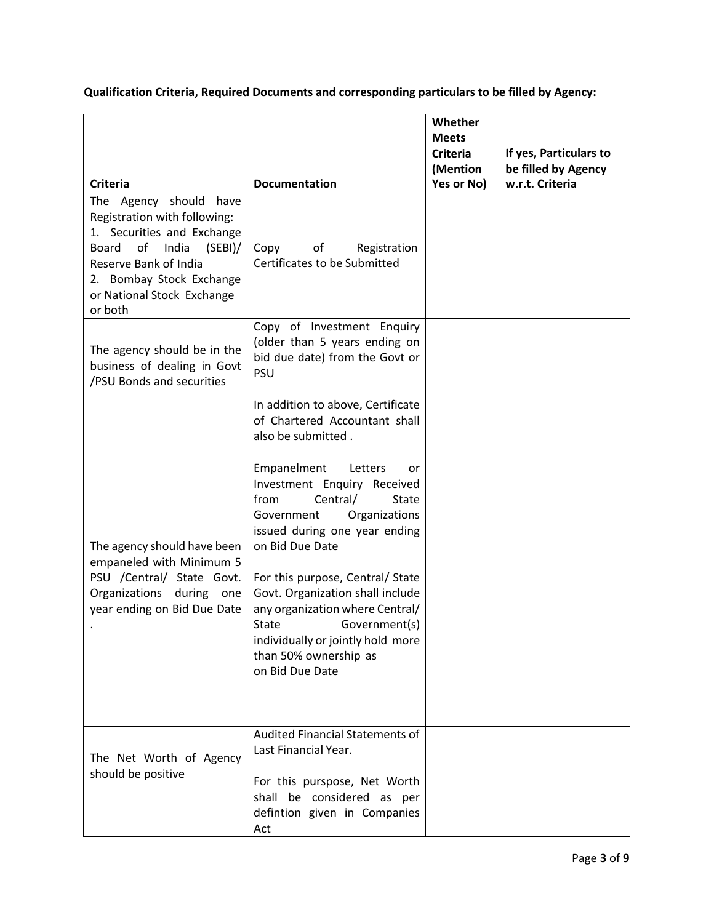**Qualification Criteria, Required Documents and corresponding particulars to be filled by Agency:**

|                                                                                                                                                                                                                       |                                                                                                                                                                                                                           | Whether<br><b>Meets</b><br><b>Criteria</b><br>(Mention | If yes, Particulars to<br>be filled by Agency |  |
|-----------------------------------------------------------------------------------------------------------------------------------------------------------------------------------------------------------------------|---------------------------------------------------------------------------------------------------------------------------------------------------------------------------------------------------------------------------|--------------------------------------------------------|-----------------------------------------------|--|
| <b>Criteria</b>                                                                                                                                                                                                       | <b>Documentation</b>                                                                                                                                                                                                      | Yes or No)                                             | w.r.t. Criteria                               |  |
| The Agency should have<br>Registration with following:<br>1. Securities and Exchange<br>of<br>India<br>(SEBI)/<br>Board<br>Reserve Bank of India<br>2. Bombay Stock Exchange<br>or National Stock Exchange<br>or both | of<br>Registration<br>Copy<br>Certificates to be Submitted                                                                                                                                                                |                                                        |                                               |  |
| The agency should be in the<br>business of dealing in Govt<br>/PSU Bonds and securities                                                                                                                               | Copy of Investment Enquiry<br>(older than 5 years ending on<br>bid due date) from the Govt or<br>PSU                                                                                                                      |                                                        |                                               |  |
|                                                                                                                                                                                                                       | In addition to above, Certificate<br>of Chartered Accountant shall<br>also be submitted.                                                                                                                                  |                                                        |                                               |  |
| The agency should have been<br>empaneled with Minimum 5                                                                                                                                                               | Empanelment<br>Letters<br>or<br>Investment Enquiry Received<br>from<br>Central/<br>State<br>Organizations<br>Government<br>issued during one year ending<br>on Bid Due Date                                               |                                                        |                                               |  |
| PSU /Central/ State Govt.<br>Organizations<br>during<br>one<br>year ending on Bid Due Date                                                                                                                            | For this purpose, Central/ State<br>Govt. Organization shall include<br>any organization where Central/<br><b>State</b><br>Government(s)<br>individually or jointly hold more<br>than 50% ownership as<br>on Bid Due Date |                                                        |                                               |  |
| The Net Worth of Agency<br>should be positive                                                                                                                                                                         | <b>Audited Financial Statements of</b><br>Last Financial Year.<br>For this purspose, Net Worth<br>shall be considered as per<br>defintion given in Companies<br>Act                                                       |                                                        |                                               |  |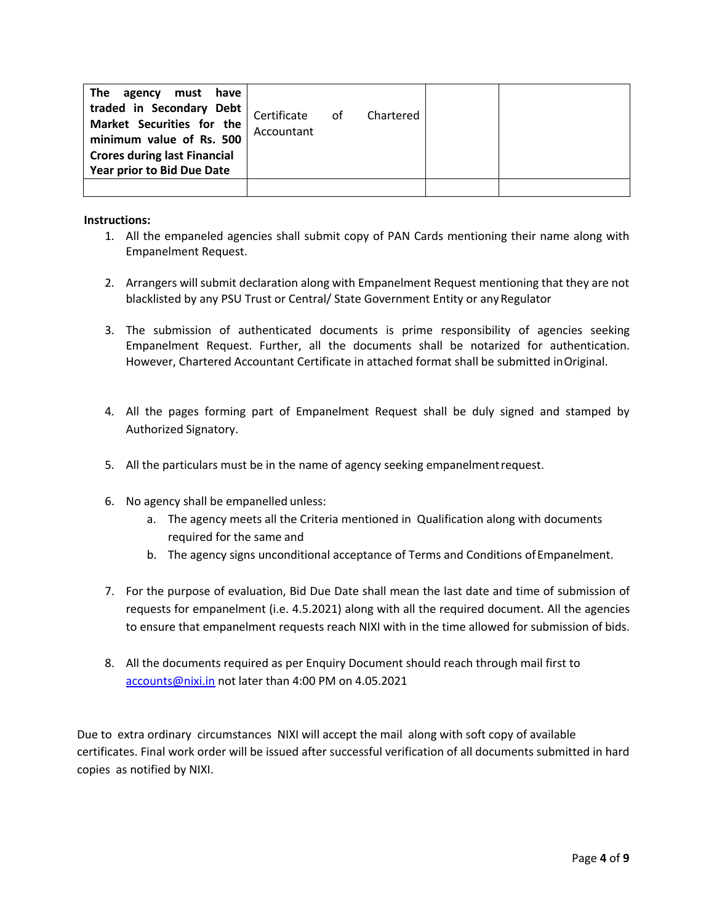| The<br>agency<br>must have<br>traded in Secondary Debt<br>Market Securities for the<br>minimum value of Rs. 500<br><b>Crores during last Financial</b><br>Year prior to Bid Due Date | Certificate of<br>Accountant | Chartered |  |
|--------------------------------------------------------------------------------------------------------------------------------------------------------------------------------------|------------------------------|-----------|--|
|                                                                                                                                                                                      |                              |           |  |

#### **Instructions:**

- 1. All the empaneled agencies shall submit copy of PAN Cards mentioning their name along with Empanelment Request.
- 2. Arrangers will submit declaration along with Empanelment Request mentioning that they are not blacklisted by any PSU Trust or Central/ State Government Entity or any Regulator
- 3. The submission of authenticated documents is prime responsibility of agencies seeking Empanelment Request. Further, all the documents shall be notarized for authentication. However, Chartered Accountant Certificate in attached format shall be submitted inOriginal.
- 4. All the pages forming part of Empanelment Request shall be duly signed and stamped by Authorized Signatory.
- 5. All the particulars must be in the name of agency seeking empanelmentrequest.
- 6. No agency shall be empanelled unless:
	- a. The agency meets all the Criteria mentioned in Qualification along with documents required for the same and
	- b. The agency signs unconditional acceptance of Terms and Conditions ofEmpanelment.
- 7. For the purpose of evaluation, Bid Due Date shall mean the last date and time of submission of requests for empanelment (i.e. 4.5.2021) along with all the required document. All the agencies to ensure that empanelment requests reach NIXI with in the time allowed for submission of bids.
- 8. All the documents required as per Enquiry Document should reach through mail first to accounts@nixi.in not later than 4:00 PM on 4.05.2021

Due to extra ordinary circumstances NIXI will accept the mail along with soft copy of available certificates. Final work order will be issued after successful verification of all documents submitted in hard copies as notified by NIXI.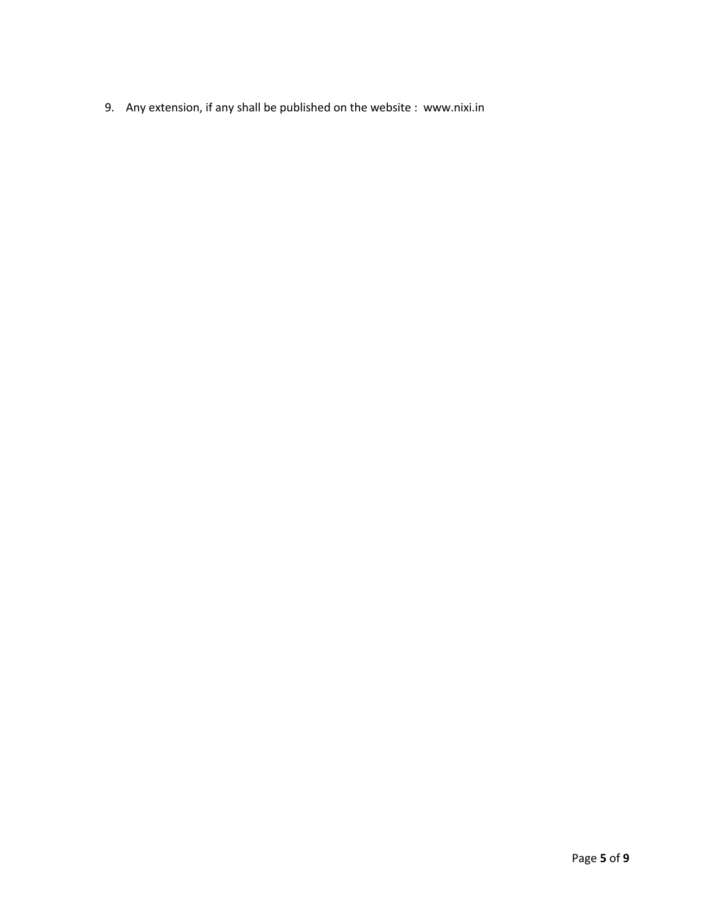9. Any extension, if any shall be published on the website : www.nixi.in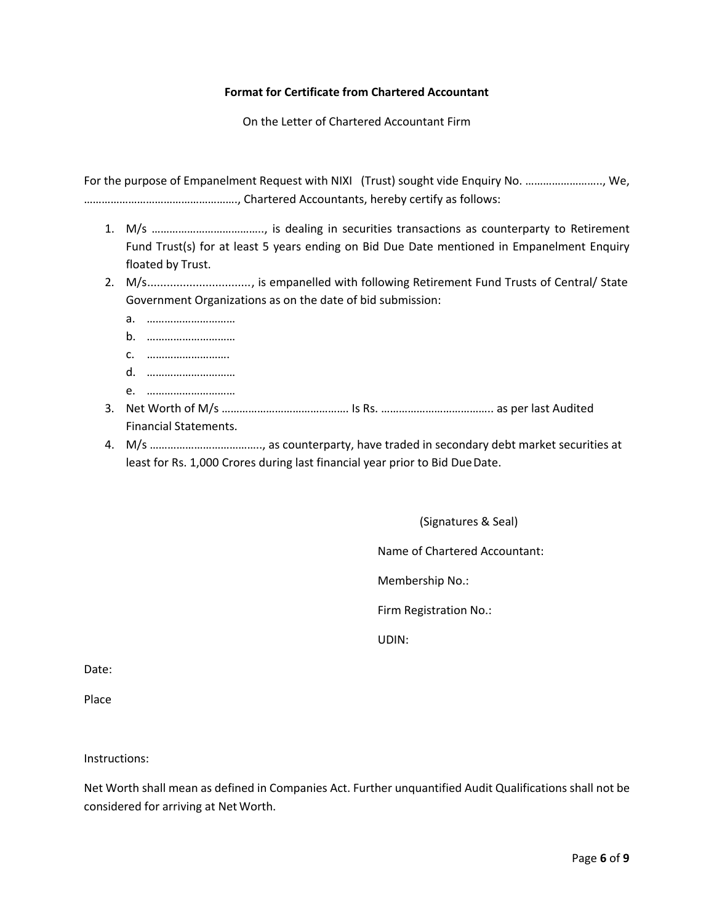#### **Format for Certificate from Chartered Accountant**

On the Letter of Chartered Accountant Firm

For the purpose of Empanelment Request with NIXI (Trust) sought vide Enquiry No. …………………….., We, ……………………………………………., Chartered Accountants, hereby certify as follows:

- 1. M/s ……………………………….., is dealing in securities transactions as counterparty to Retirement Fund Trust(s) for at least 5 years ending on Bid Due Date mentioned in Empanelment Enquiry floated by Trust.
- 2. M/s................................, is empanelled with following Retirement Fund Trusts of Central/ State Government Organizations as on the date of bid submission:
	- a. …………………………
	- b. …………………………
	- c. ……………………….
	- d. …………………………
	- e. …………………………
- 3. Net Worth of M/s ……………………………………. Is Rs. ……………………………….. as per last Audited Financial Statements.
- 4. M/s ……………………………….., as counterparty, have traded in secondary debt market securities at least for Rs. 1,000 Crores during last financial year prior to Bid Due Date.

(Signatures & Seal)

Name of Chartered Accountant:

Membership No.:

Firm Registration No.:

UDIN:

Date:

Place

Instructions:

Net Worth shall mean as defined in Companies Act. Further unquantified Audit Qualifications shall not be considered for arriving at Net Worth.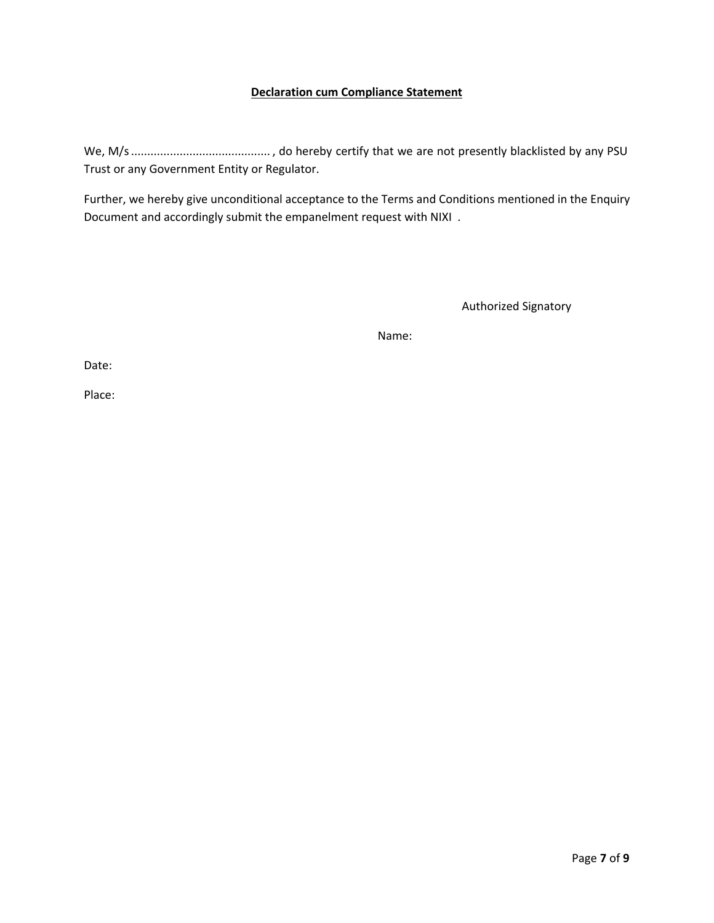#### **Declaration cum Compliance Statement**

We, M/s........................................... , do hereby certify that we are not presently blacklisted by any PSU Trust or any Government Entity or Regulator.

Further, we hereby give unconditional acceptance to the Terms and Conditions mentioned in the Enquiry Document and accordingly submit the empanelment request with NIXI .

Authorized Signatory

Name:

Date:

Place: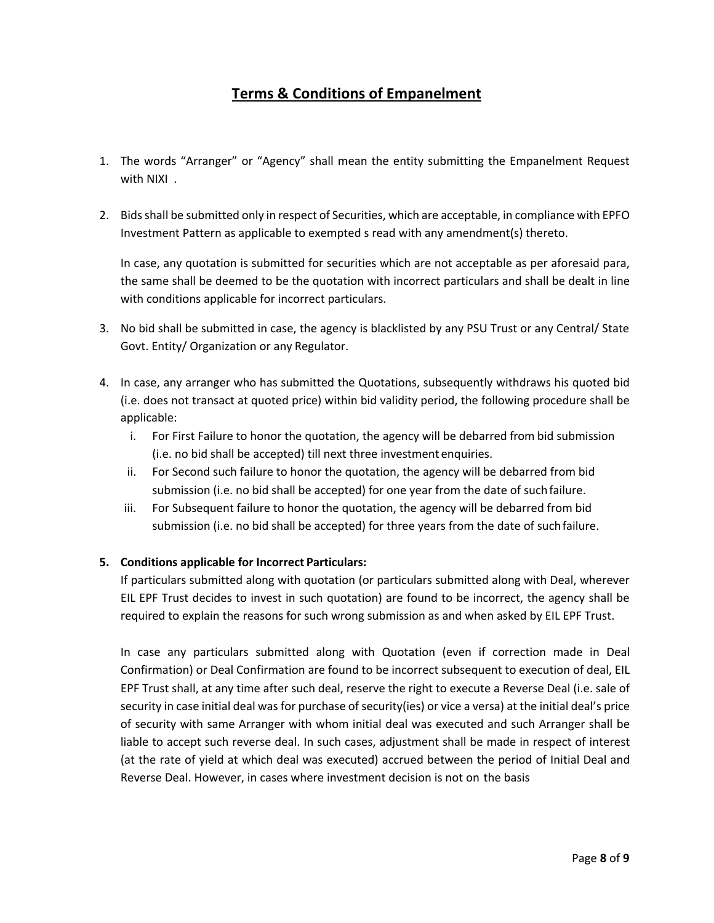# **Terms & Conditions of Empanelment**

- 1. The words "Arranger" or "Agency" shall mean the entity submitting the Empanelment Request with NIXI .
- 2. Bids shall be submitted only in respect of Securities, which are acceptable, in compliance with EPFO Investment Pattern as applicable to exempted s read with any amendment(s) thereto.

In case, any quotation is submitted for securities which are not acceptable as per aforesaid para, the same shall be deemed to be the quotation with incorrect particulars and shall be dealt in line with conditions applicable for incorrect particulars.

- 3. No bid shall be submitted in case, the agency is blacklisted by any PSU Trust or any Central/ State Govt. Entity/ Organization or any Regulator.
- 4. In case, any arranger who has submitted the Quotations, subsequently withdraws his quoted bid (i.e. does not transact at quoted price) within bid validity period, the following procedure shall be applicable:
	- i. For First Failure to honor the quotation, the agency will be debarred from bid submission (i.e. no bid shall be accepted) till next three investment enquiries.
	- ii. For Second such failure to honor the quotation, the agency will be debarred from bid submission (i.e. no bid shall be accepted) for one year from the date of suchfailure.
	- iii. For Subsequent failure to honor the quotation, the agency will be debarred from bid submission (i.e. no bid shall be accepted) for three years from the date of suchfailure.

## **5. Conditions applicable for Incorrect Particulars:**

If particulars submitted along with quotation (or particulars submitted along with Deal, wherever EIL EPF Trust decides to invest in such quotation) are found to be incorrect, the agency shall be required to explain the reasons for such wrong submission as and when asked by EIL EPF Trust.

In case any particulars submitted along with Quotation (even if correction made in Deal Confirmation) or Deal Confirmation are found to be incorrect subsequent to execution of deal, EIL EPF Trust shall, at any time after such deal, reserve the right to execute a Reverse Deal (i.e. sale of security in case initial deal was for purchase of security(ies) or vice a versa) at the initial deal's price of security with same Arranger with whom initial deal was executed and such Arranger shall be liable to accept such reverse deal. In such cases, adjustment shall be made in respect of interest (at the rate of yield at which deal was executed) accrued between the period of Initial Deal and Reverse Deal. However, in cases where investment decision is not on the basis